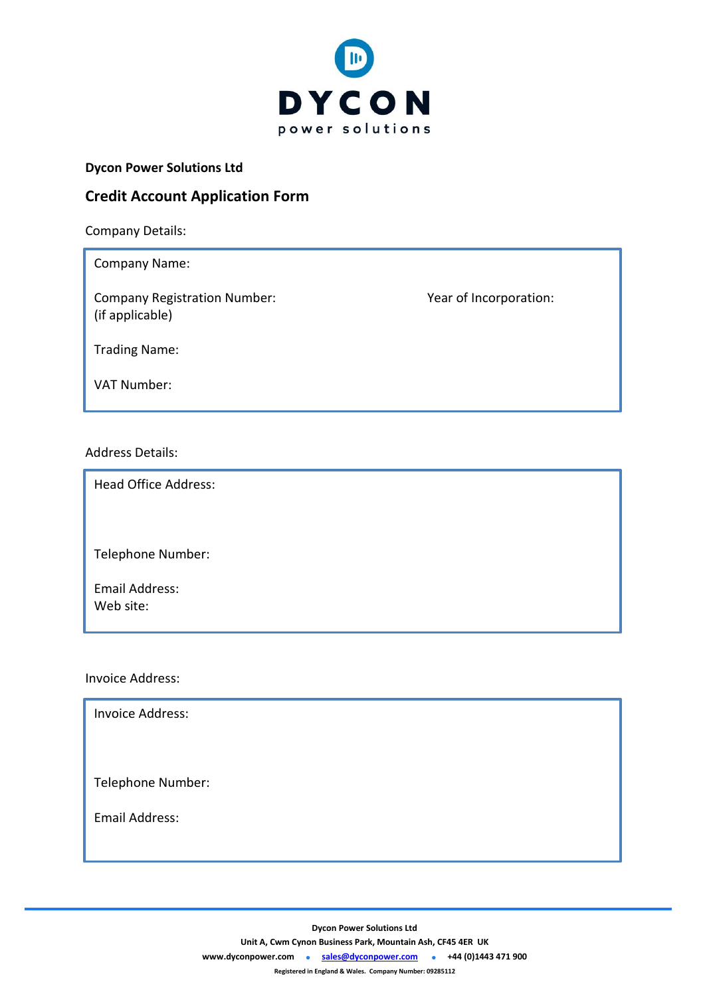

### **Dycon Power Solutions Ltd**

## **Credit Account Application Form**

Company Details:

Company Name: Company Registration Number: Year of Incorporation: (if applicable) Trading Name: VAT Number:

### Address Details:

Head Office Address:

Telephone Number:

Email Address: Web site:

Invoice Address:

Invoice Address:

Telephone Number:

Email Address:

**Dycon Power Solutions Ltd**

**Unit A, Cwm Cynon Business Park, Mountain Ash, CF45 4ER UK**

**[www.dyconpower.com](http://www.dyconpower.com/)  [sales@dyconpower.com](mailto:sales@dyconpower.com)  +44 (0)1443 471 900**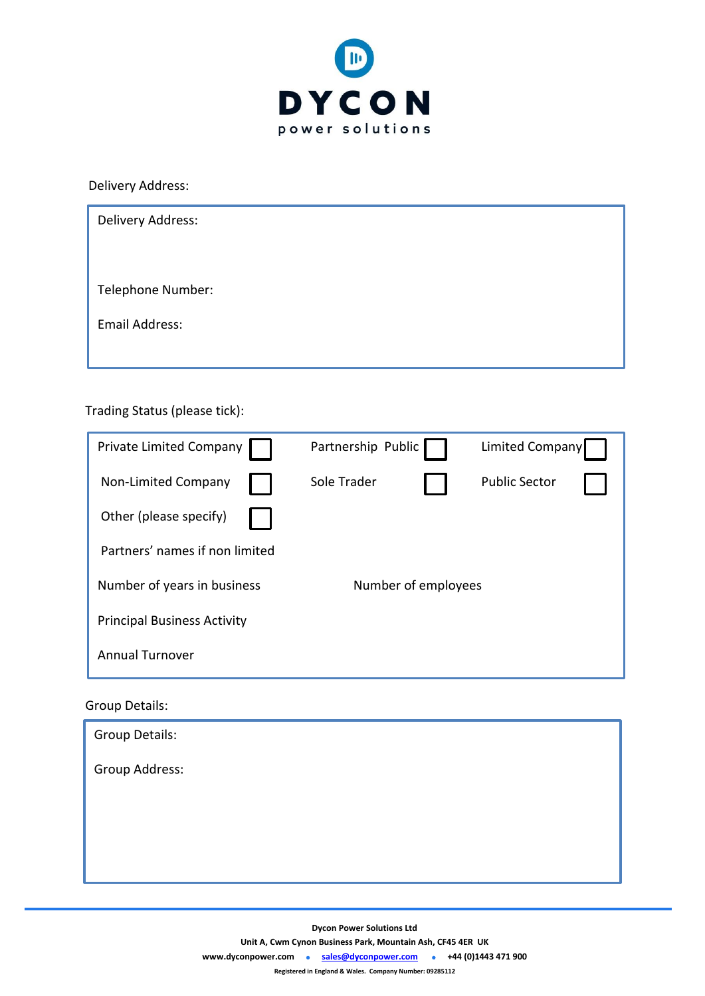

Delivery Address:

| Delivery Address: |  |
|-------------------|--|
|                   |  |
| Telephone Number: |  |
| Email Address:    |  |
|                   |  |

# Trading Status (please tick):

| <b>Private Limited Company</b>     | Partnership Public  | <b>Limited Company</b> |  |
|------------------------------------|---------------------|------------------------|--|
| Non-Limited Company                | Sole Trader         | <b>Public Sector</b>   |  |
| Other (please specify)             |                     |                        |  |
| Partners' names if non limited     |                     |                        |  |
| Number of years in business        | Number of employees |                        |  |
| <b>Principal Business Activity</b> |                     |                        |  |
| <b>Annual Turnover</b>             |                     |                        |  |

## Group Details:

| Group Details: |  |
|----------------|--|
| Group Address: |  |
|                |  |
|                |  |
|                |  |

**Dycon Power Solutions Ltd**

**Unit A, Cwm Cynon Business Park, Mountain Ash, CF45 4ER UK**

**[www.dyconpower.com](http://www.dyconpower.com/)  [sales@dyconpower.com](mailto:sales@dyconpower.com)  +44 (0)1443 471 900**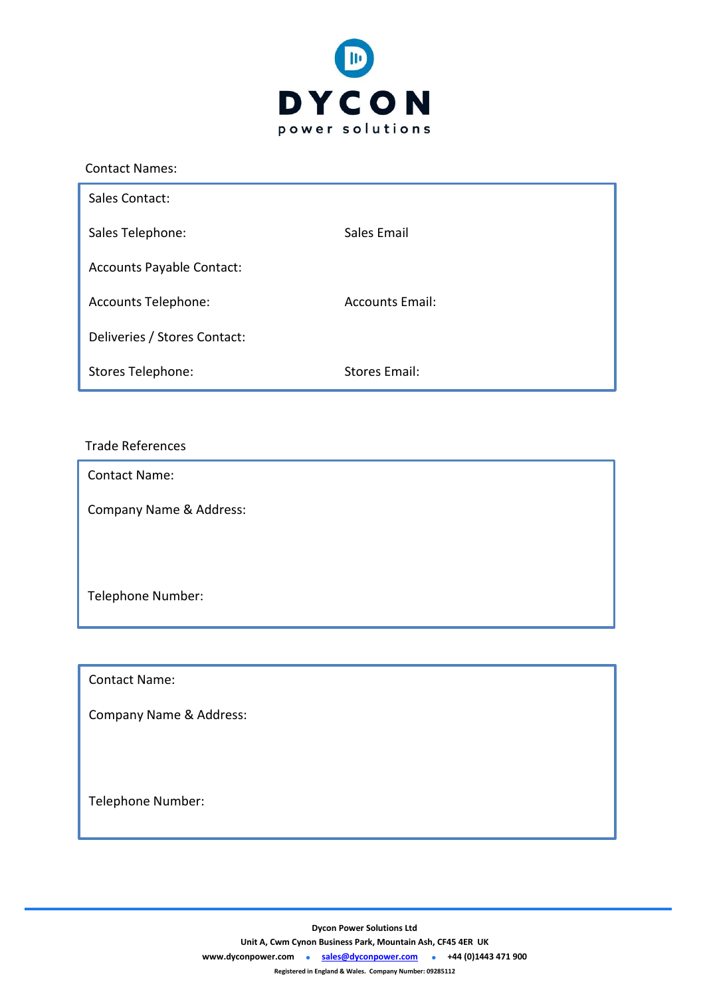

| <b>Contact Names:</b>            |                        |
|----------------------------------|------------------------|
| Sales Contact:                   |                        |
| Sales Telephone:                 | Sales Email            |
| <b>Accounts Payable Contact:</b> |                        |
| <b>Accounts Telephone:</b>       | <b>Accounts Email:</b> |
| Deliveries / Stores Contact:     |                        |
| Stores Telephone:                | <b>Stores Email:</b>   |

## Trade References

Ī Contact Name:

Company Name & Address:

Telephone Number:

Contact Name:

Company Name & Address:

Telephone Number:

**Dycon Power Solutions Ltd**

**Unit A, Cwm Cynon Business Park, Mountain Ash, CF45 4ER UK**

**[www.dyconpower.com](http://www.dyconpower.com/)  [sales@dyconpower.com](mailto:sales@dyconpower.com)  +44 (0)1443 471 900**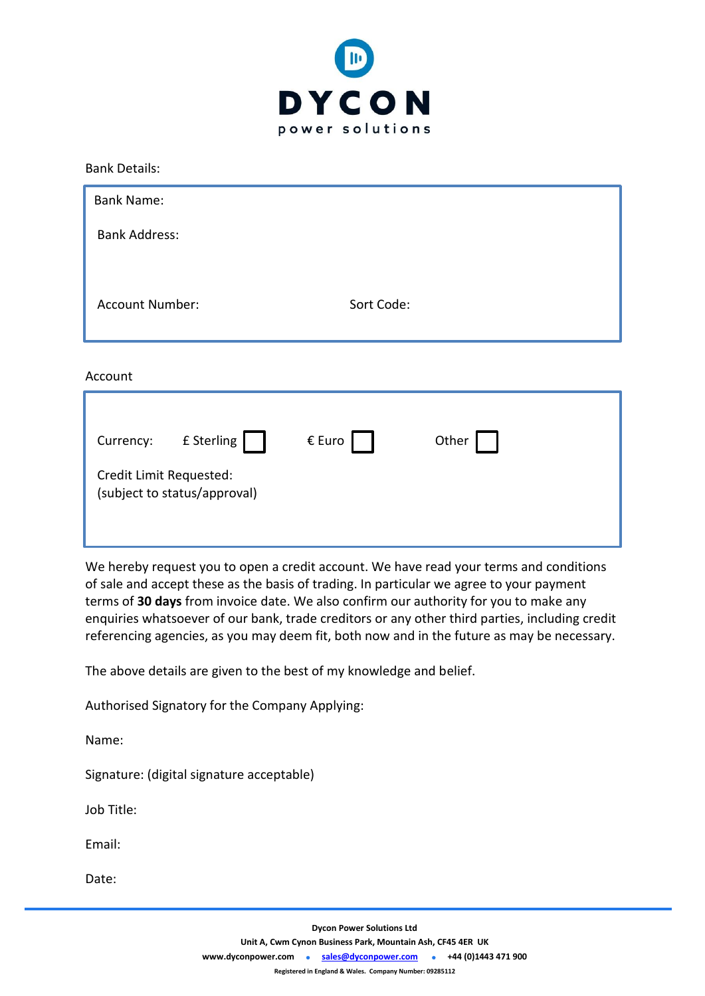

Bank Details:

| <b>Bank Name:</b>    |            |
|----------------------|------------|
| <b>Bank Address:</b> |            |
| Account Number:      | Sort Code: |

Account

| Currency:                                               | £ Sterling | $\epsilon$ Euro | Other |  |
|---------------------------------------------------------|------------|-----------------|-------|--|
| Credit Limit Requested:<br>(subject to status/approval) |            |                 |       |  |

We hereby request you to open a credit account. We have read your terms and conditions of sale and accept these as the basis of trading. In particular we agree to your payment terms of **30 days** from invoice date. We also confirm our authority for you to make any enquiries whatsoever of our bank, trade creditors or any other third parties, including credit referencing agencies, as you may deem fit, both now and in the future as may be necessary.

The above details are given to the best of my knowledge and belief.

Authorised Signatory for the Company Applying:

Name:

Signature: (digital signature acceptable)

Job Title:

Email:

Date: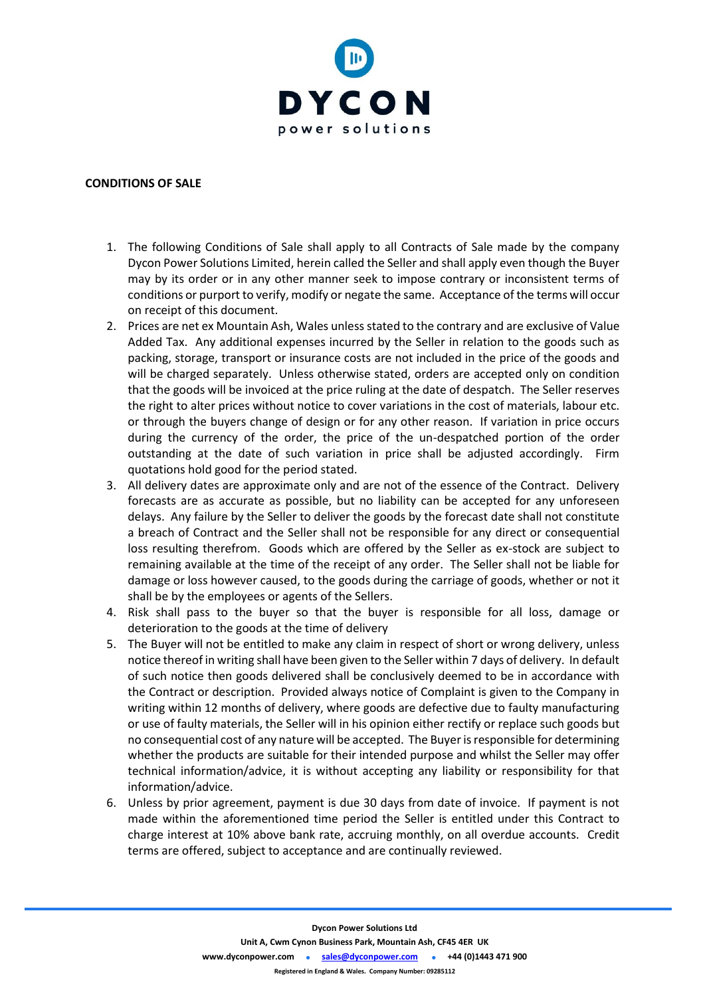

#### **CONDITIONS OF SALE**

- 1. The following Conditions of Sale shall apply to all Contracts of Sale made by the company Dycon Power Solutions Limited, herein called the Seller and shall apply even though the Buyer may by its order or in any other manner seek to impose contrary or inconsistent terms of conditions or purport to verify, modify or negate the same. Acceptance of the terms will occur on receipt of this document.
- 2. Prices are net ex Mountain Ash, Wales unless stated to the contrary and are exclusive of Value Added Tax. Any additional expenses incurred by the Seller in relation to the goods such as packing, storage, transport or insurance costs are not included in the price of the goods and will be charged separately. Unless otherwise stated, orders are accepted only on condition that the goods will be invoiced at the price ruling at the date of despatch. The Seller reserves the right to alter prices without notice to cover variations in the cost of materials, labour etc. or through the buyers change of design or for any other reason. If variation in price occurs during the currency of the order, the price of the un-despatched portion of the order outstanding at the date of such variation in price shall be adjusted accordingly. Firm quotations hold good for the period stated.
- 3. All delivery dates are approximate only and are not of the essence of the Contract. Delivery forecasts are as accurate as possible, but no liability can be accepted for any unforeseen delays. Any failure by the Seller to deliver the goods by the forecast date shall not constitute a breach of Contract and the Seller shall not be responsible for any direct or consequential loss resulting therefrom. Goods which are offered by the Seller as ex-stock are subject to remaining available at the time of the receipt of any order. The Seller shall not be liable for damage or loss however caused, to the goods during the carriage of goods, whether or not it shall be by the employees or agents of the Sellers.
- 4. Risk shall pass to the buyer so that the buyer is responsible for all loss, damage or deterioration to the goods at the time of delivery
- 5. The Buyer will not be entitled to make any claim in respect of short or wrong delivery, unless notice thereof in writing shall have been given to the Seller within 7 days of delivery. In default of such notice then goods delivered shall be conclusively deemed to be in accordance with the Contract or description. Provided always notice of Complaint is given to the Company in writing within 12 months of delivery, where goods are defective due to faulty manufacturing or use of faulty materials, the Seller will in his opinion either rectify or replace such goods but no consequential cost of any nature will be accepted. The Buyer is responsible for determining whether the products are suitable for their intended purpose and whilst the Seller may offer technical information/advice, it is without accepting any liability or responsibility for that information/advice.
- 6. Unless by prior agreement, payment is due 30 days from date of invoice. If payment is not made within the aforementioned time period the Seller is entitled under this Contract to charge interest at 10% above bank rate, accruing monthly, on all overdue accounts. Credit terms are offered, subject to acceptance and are continually reviewed.

**Unit A, Cwm Cynon Business Park, Mountain Ash, CF45 4ER UK**

**[www.dyconpower.com](http://www.dyconpower.com/)  [sales@dyconpower.com](mailto:sales@dyconpower.com)  +44 (0)1443 471 900**